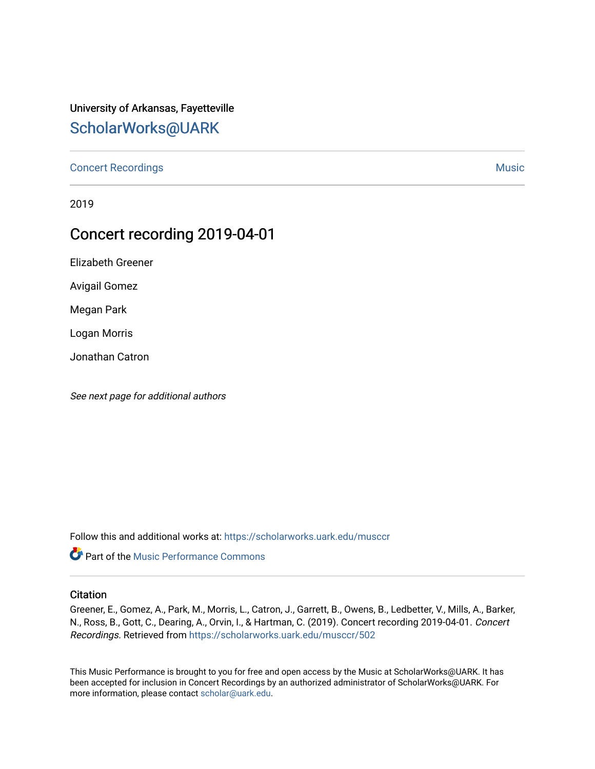## University of Arkansas, Fayetteville [ScholarWorks@UARK](https://scholarworks.uark.edu/)

[Concert Recordings](https://scholarworks.uark.edu/musccr) [Music](https://scholarworks.uark.edu/musc) Network and Security Assembly and Security Assembly Assembly Assembly Assembly Assembly

2019

## Concert recording 2019-04-01

Elizabeth Greener

Avigail Gomez

Megan Park

Logan Morris

Jonathan Catron

See next page for additional authors

Follow this and additional works at: [https://scholarworks.uark.edu/musccr](https://scholarworks.uark.edu/musccr?utm_source=scholarworks.uark.edu%2Fmusccr%2F502&utm_medium=PDF&utm_campaign=PDFCoverPages) 



#### **Citation**

Greener, E., Gomez, A., Park, M., Morris, L., Catron, J., Garrett, B., Owens, B., Ledbetter, V., Mills, A., Barker, N., Ross, B., Gott, C., Dearing, A., Orvin, I., & Hartman, C. (2019). Concert recording 2019-04-01. Concert Recordings. Retrieved from [https://scholarworks.uark.edu/musccr/502](https://scholarworks.uark.edu/musccr/502?utm_source=scholarworks.uark.edu%2Fmusccr%2F502&utm_medium=PDF&utm_campaign=PDFCoverPages)

This Music Performance is brought to you for free and open access by the Music at ScholarWorks@UARK. It has been accepted for inclusion in Concert Recordings by an authorized administrator of ScholarWorks@UARK. For more information, please contact [scholar@uark.edu.](mailto:scholar@uark.edu)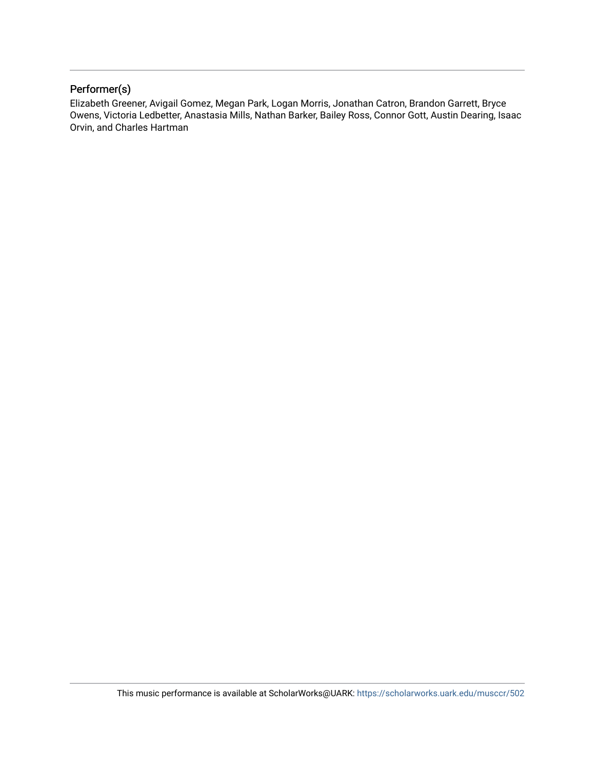### Performer(s)

Elizabeth Greener, Avigail Gomez, Megan Park, Logan Morris, Jonathan Catron, Brandon Garrett, Bryce Owens, Victoria Ledbetter, Anastasia Mills, Nathan Barker, Bailey Ross, Connor Gott, Austin Dearing, Isaac Orvin, and Charles Hartman